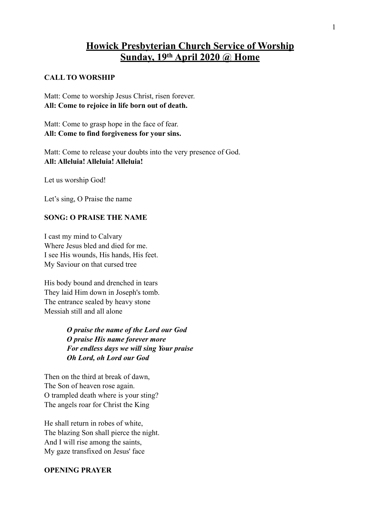# **Howick Presbyterian Church Service of Worship Sunday, 19th April 2020 @ Home**

# **CALL TO WORSHIP**

Matt: Come to worship Jesus Christ, risen forever. **All: Come to rejoice in life born out of death.**

Matt: Come to grasp hope in the face of fear. **All: Come to find forgiveness for your sins.**

Matt: Come to release your doubts into the very presence of God. **All: Alleluia! Alleluia! Alleluia!**

Let us worship God!

Let's sing, O Praise the name

### **SONG: O PRAISE THE NAME**

I cast my mind to Calvary Where Jesus bled and died for me. I see His wounds, His hands, His feet. My Saviour on that cursed tree

His body bound and drenched in tears They laid Him down in Joseph's tomb. The entrance sealed by heavy stone Messiah still and all alone

> *O praise the name of the Lord our God O praise His name forever more For endless days we will sing Your praise Oh Lord, oh Lord our God*

Then on the third at break of dawn, The Son of heaven rose again. O trampled death where is your sting? The angels roar for Christ the King

He shall return in robes of white, The blazing Son shall pierce the night. And I will rise among the saints, My gaze transfixed on Jesus' face

### **OPENING PRAYER**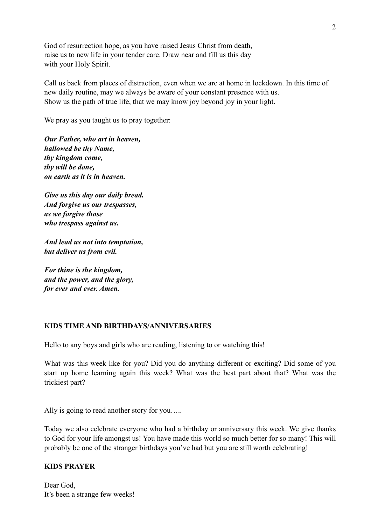God of resurrection hope, as you have raised Jesus Christ from death, raise us to new life in your tender care. Draw near and fill us this day with your Holy Spirit.

Call us back from places of distraction, even when we are at home in lockdown. In this time of new daily routine, may we always be aware of your constant presence with us. Show us the path of true life, that we may know joy beyond joy in your light.

We pray as you taught us to pray together:

*Our Father, who art in heaven, hallowed be thy Name, thy kingdom come, thy will be done, on earth as it is in heaven.* 

*Give us this day our daily bread. And forgive us our trespasses, as we forgive those who trespass against us.* 

*And lead us not into temptation, but deliver us from evil.* 

*For thine is the kingdom, and the power, and the glory, for ever and ever. Amen.*

# **KIDS TIME AND BIRTHDAYS/ANNIVERSARIES**

Hello to any boys and girls who are reading, listening to or watching this!

What was this week like for you? Did you do anything different or exciting? Did some of you start up home learning again this week? What was the best part about that? What was the trickiest part?

Ally is going to read another story for you…..

Today we also celebrate everyone who had a birthday or anniversary this week. We give thanks to God for your life amongst us! You have made this world so much better for so many! This will probably be one of the stranger birthdays you've had but you are still worth celebrating!

### **KIDS PRAYER**

Dear God, It's been a strange few weeks!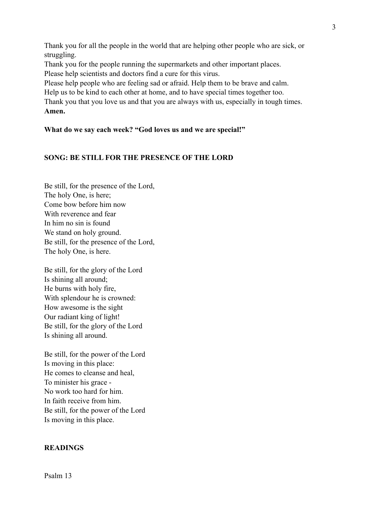Thank you for all the people in the world that are helping other people who are sick, or struggling.

Thank you for the people running the supermarkets and other important places. Please help scientists and doctors find a cure for this virus.

Please help people who are feeling sad or afraid. Help them to be brave and calm.

Help us to be kind to each other at home, and to have special times together too.

Thank you that you love us and that you are always with us, especially in tough times. **Amen.**

### **What do we say each week? "God loves us and we are special!"**

# **SONG: BE STILL FOR THE PRESENCE OF THE LORD**

Be still, for the presence of the Lord, The holy One, is here; Come bow before him now With reverence and fear In him no sin is found We stand on holy ground. Be still, for the presence of the Lord, The holy One, is here.

Be still, for the glory of the Lord Is shining all around; He burns with holy fire, With splendour he is crowned: How awesome is the sight Our radiant king of light! Be still, for the glory of the Lord Is shining all around.

Be still, for the power of the Lord Is moving in this place: He comes to cleanse and heal, To minister his grace - No work too hard for him. In faith receive from him. Be still, for the power of the Lord Is moving in this place.

### **READINGS**

3

Psalm 13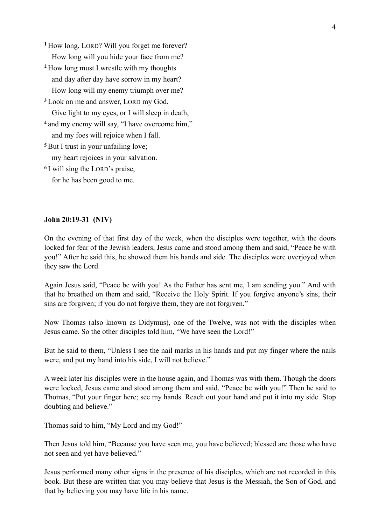**<sup>1</sup>**How long, LORD? Will you forget me forever? How long will you hide your face from me?

- **<sup>2</sup>**How long must I wrestle with my thoughts and day after day have sorrow in my heart? How long will my enemy triumph over me?
- **<sup>3</sup>**Look on me and answer, LORD my God. Give light to my eyes, or I will sleep in death, **<sup>4</sup>**and my enemy will say, "I have overcome him,"
	- and my foes will rejoice when I fall.
- **<sup>5</sup>**But I trust in your unfailing love;
	- my heart rejoices in your salvation.
- **<sup>6</sup>**I will sing the LORD's praise, for he has been good to me.

# **John 20:19-31 (NIV)**

On the evening of that first day of the week, when the disciples were together, with the doors locked for fear of the Jewish leaders, Jesus came and stood among them and said, "Peace be with you!" After he said this, he showed them his hands and side. The disciples were overjoyed when they saw the Lord.

Again Jesus said, "Peace be with you! As the Father has sent me, I am sending you." And with that he breathed on them and said, "Receive the Holy Spirit. If you forgive anyone's sins, their sins are forgiven; if you do not forgive them, they are not forgiven."

Now Thomas (also known as Didymus), one of the Twelve, was not with the disciples when Jesus came. So the other disciples told him, "We have seen the Lord!"

But he said to them, "Unless I see the nail marks in his hands and put my finger where the nails were, and put my hand into his side, I will not believe."

A week later his disciples were in the house again, and Thomas was with them. Though the doors were locked, Jesus came and stood among them and said, "Peace be with you!" Then he said to Thomas, "Put your finger here; see my hands. Reach out your hand and put it into my side. Stop doubting and believe."

Thomas said to him, "My Lord and my God!"

Then Jesus told him, "Because you have seen me, you have believed; blessed are those who have not seen and yet have believed."

Jesus performed many other signs in the presence of his disciples, which are not recorded in this book. But these are written that you may believe that Jesus is the Messiah, the Son of God, and that by believing you may have life in his name.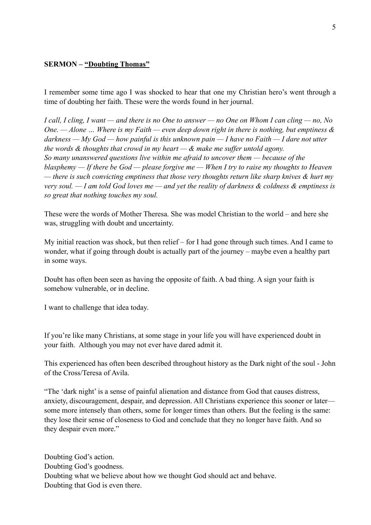# **SERMON – "Doubting Thomas"**

I remember some time ago I was shocked to hear that one my Christian hero's went through a time of doubting her faith. These were the words found in her journal.

*I call, I cling, I want — and there is no One to answer — no One on Whom I can cling — no, No One. — Alone … Where is my Faith — even deep down right in there is nothing, but emptiness & darkness — My God — how painful is this unknown pain — I have no Faith — I dare not utter the words & thoughts that crowd in my heart — & make me suffer untold agony. So many unanswered questions live within me afraid to uncover them — because of the blasphemy — If there be God — please forgive me — When I try to raise my thoughts to Heaven — there is such convicting emptiness that those very thoughts return like sharp knives & hurt my very soul. — I am told God loves me — and yet the reality of darkness & coldness & emptiness is so great that nothing touches my soul.* 

These were the words of Mother Theresa. She was model Christian to the world – and here she was, struggling with doubt and uncertainty.

My initial reaction was shock, but then relief – for I had gone through such times. And I came to wonder, what if going through doubt is actually part of the journey – maybe even a healthy part in some ways.

Doubt has often been seen as having the opposite of faith. A bad thing. A sign your faith is somehow vulnerable, or in decline.

I want to challenge that idea today.

If you're like many Christians, at some stage in your life you will have experienced doubt in your faith. Although you may not ever have dared admit it.

This experienced has often been described throughout history as the Dark night of the soul - John of the Cross/Teresa of Avila.

"The 'dark night' is a sense of painful alienation and distance from God that causes distress, anxiety, discouragement, despair, and depression. All Christians experience this sooner or later some more intensely than others, some for longer times than others. But the feeling is the same: they lose their sense of closeness to God and conclude that they no longer have faith. And so they despair even more."

Doubting God's action. Doubting God's goodness. Doubting what we believe about how we thought God should act and behave. Doubting that God is even there.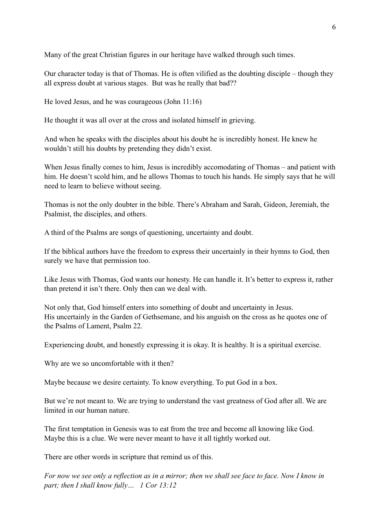Many of the great Christian figures in our heritage have walked through such times.

Our character today is that of Thomas. He is often vilified as the doubting disciple – though they all express doubt at various stages. But was he really that bad??

He loved Jesus, and he was courageous (John 11:16)

He thought it was all over at the cross and isolated himself in grieving.

And when he speaks with the disciples about his doubt he is incredibly honest. He knew he wouldn't still his doubts by pretending they didn't exist.

When Jesus finally comes to him, Jesus is incredibly accomodating of Thomas – and patient with him. He doesn't scold him, and he allows Thomas to touch his hands. He simply says that he will need to learn to believe without seeing.

Thomas is not the only doubter in the bible. There's Abraham and Sarah, Gideon, Jeremiah, the Psalmist, the disciples, and others.

A third of the Psalms are songs of questioning, uncertainty and doubt.

If the biblical authors have the freedom to express their uncertainly in their hymns to God, then surely we have that permission too.

Like Jesus with Thomas, God wants our honesty. He can handle it. It's better to express it, rather than pretend it isn't there. Only then can we deal with.

Not only that, God himself enters into something of doubt and uncertainty in Jesus. His uncertainly in the Garden of Gethsemane, and his anguish on the cross as he quotes one of the Psalms of Lament, Psalm 22.

Experiencing doubt, and honestly expressing it is okay. It is healthy. It is a spiritual exercise.

Why are we so uncomfortable with it then?

Maybe because we desire certainty. To know everything. To put God in a box.

But we're not meant to. We are trying to understand the vast greatness of God after all. We are limited in our human nature.

The first temptation in Genesis was to eat from the tree and become all knowing like God. Maybe this is a clue. We were never meant to have it all tightly worked out.

There are other words in scripture that remind us of this.

*For now we see only a reflection as in a mirror; then we shall see face to face. Now I know in part; then I shall know fully… 1 Cor 13:12*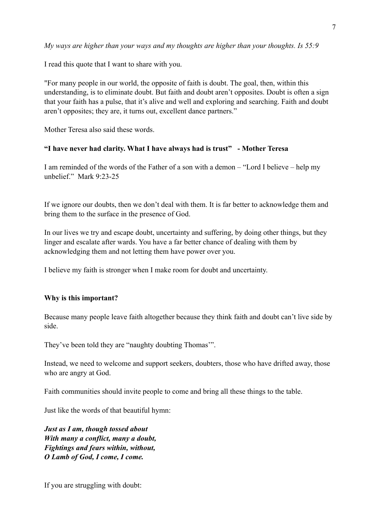*My ways are higher than your ways and my thoughts are higher than your thoughts. Is 55:9*

I read this quote that I want to share with you.

"For many people in our world, the opposite of faith is doubt. The goal, then, within this understanding, is to eliminate doubt. But faith and doubt aren't opposites. Doubt is often a sign that your faith has a pulse, that it's alive and well and exploring and searching. Faith and doubt aren't opposites; they are, it turns out, excellent dance partners."

Mother Teresa also said these words.

# **"I have never had clarity. What I have always had is trust" - Mother Teresa**

I am reminded of the words of the Father of a son with a demon – "Lord I believe – help my unbelief." Mark 9:23-25

If we ignore our doubts, then we don't deal with them. It is far better to acknowledge them and bring them to the surface in the presence of God.

In our lives we try and escape doubt, uncertainty and suffering, by doing other things, but they linger and escalate after wards. You have a far better chance of dealing with them by acknowledging them and not letting them have power over you.

I believe my faith is stronger when I make room for doubt and uncertainty.

# **Why is this important?**

Because many people leave faith altogether because they think faith and doubt can't live side by side.

They've been told they are "naughty doubting Thomas'".

Instead, we need to welcome and support seekers, doubters, those who have drifted away, those who are angry at God.

Faith communities should invite people to come and bring all these things to the table.

Just like the words of that beautiful hymn:

*Just as I am, though tossed about With many a conflict, many a doubt, Fightings and fears within, without, O Lamb of God, I come, I come.*

If you are struggling with doubt: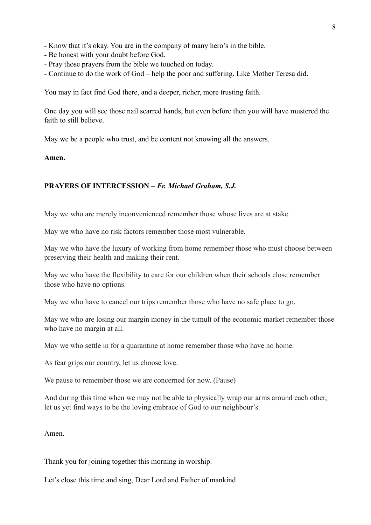- Know that it's okay. You are in the company of many hero's in the bible.
- Be honest with your doubt before God.
- Pray those prayers from the bible we touched on today.
- Continue to do the work of God help the poor and suffering. Like Mother Teresa did.

You may in fact find God there, and a deeper, richer, more trusting faith.

One day you will see those nail scarred hands, but even before then you will have mustered the faith to still believe.

May we be a people who trust, and be content not knowing all the answers.

### **Amen.**

### **PRAYERS OF INTERCESSION –** *Fr. Michael Graham, S.J.*

May we who are merely inconvenienced remember those whose lives are at stake.

May we who have no risk factors remember those most vulnerable.

May we who have the luxury of working from home remember those who must choose between preserving their health and making their rent.

May we who have the flexibility to care for our children when their schools close remember those who have no options.

May we who have to cancel our trips remember those who have no safe place to go.

May we who are losing our margin money in the tumult of the economic market remember those who have no margin at all.

May we who settle in for a quarantine at home remember those who have no home.

As fear grips our country, let us choose love.

We pause to remember those we are concerned for now. (Pause)

And during this time when we may not be able to physically wrap our arms around each other, let us yet find ways to be the loving embrace of God to our neighbour's.

Amen.

Thank you for joining together this morning in worship.

Let's close this time and sing, Dear Lord and Father of mankind